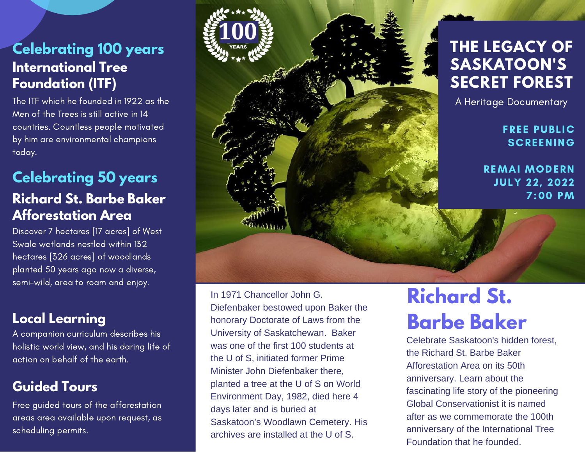### **Celebrating 100 years International Tree Foundation (ITF)**

The ITF which he founded in 1922 as the Men of the Trees is still active in 14 countries. Countless people motivated by him are environmental champions today.

#### **Richard St. Barbe Baker Afforestation Area Celebrating 50 years**

Discover 7 hectares [17 acres] of West Swale wetlands nestled within 132 hectares [326 acres] of woodlands planted 50 years ago now a diverse, semi-wild, area to roam and enjoy.

#### **Local Learning**

A companion curriculum describes his holistic world view, and his daring life of action on behalf of the earth.

#### **Guided Tours**

Free guided tours of the afforestation areas area available upon request, as scheduling permits.



In 1971 Chancellor John G. Diefenbaker bestowed upon Baker the honorary Doctorate of Laws from the University of Saskatchewan. Baker was one of the first 100 students at the U of S, initiated former Prime Minister John Diefenbaker there, planted a tree at the U of S on World Environment Day, 1982, died here 4 days later and is buried at Saskatoon's Woodlawn Cemetery. His archives are installed at the U of S.

# **Richard St. Barbe Baker**

Celebrate Saskatoon's hidden forest, the Richard St. Barbe Baker Afforestation Area on its 50th anniversary. Learn about the fascinating life story of the pioneering Global Conservationist it is named after as we commemorate the 100th anniversary of the International Tree Foundation that he founded.

7:00 PM